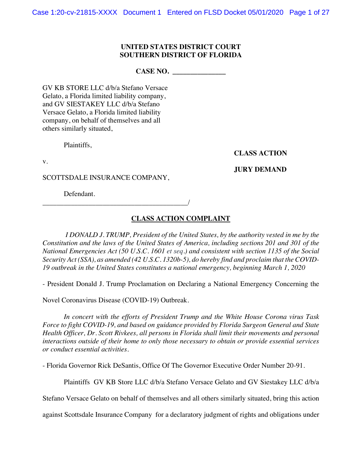## **UNITED STATES DISTRICT COURT SOUTHERN DISTRICT OF FLORIDA**

**CASE NO. \_\_\_\_\_\_\_\_\_\_\_\_\_\_\_**

GV KB STORE LLC d/b/a Stefano Versace Gelato, a Florida limited liability company, and GV SIESTAKEY LLC d/b/a Stefano Versace Gelato, a Florida limited liability company, on behalf of themselves and all others similarly situated,

Plaintiffs,

**CLASS ACTION**

v.

**JURY DEMAND**

SCOTTSDALE INSURANCE COMPANY,

\_\_\_\_\_\_\_\_\_\_\_\_\_\_\_\_\_\_\_\_\_\_\_\_\_\_\_\_\_\_\_\_\_\_\_\_\_\_\_\_\_/

Defendant.

# **CLASS ACTION COMPLAINT**

*I DONALD J. TRUMP, President of the United States, by the authority vested in me by the Constitution and the laws of the United States of America, including sections 201 and 301 of the National Emergencies Act (50 U.S.C. 1601 et seq.) and consistent with section 1135 of the Social Security Act (SSA), as amended (42 U.S.C. 1320b-5), do hereby find and proclaim that the COVID-19 outbreak in the United States constitutes a national emergency, beginning March 1, 2020*

- President Donald J. Trump Proclamation on Declaring a National Emergency Concerning the

Novel Coronavirus Disease (COVID-19) Outbreak.

*In concert with the efforts of President Trump and the White House Corona virus Task Force to fight COVID-19, and based on guidance provided by Florida Surgeon General and State Health Officer, Dr. Scott Rivkees, all persons in Florida shall limit their movements and personal interactions outside of their home to only those necessary to obtain or provide essential services or conduct essential activities.*

- Florida Governor Rick DeSantis, Office Of The Governor Executive Order Number 20-91.

Plaintiffs GV KB Store LLC d/b/a Stefano Versace Gelato and GV Siestakey LLC d/b/a

Stefano Versace Gelato on behalf of themselves and all others similarly situated, bring this action

against Scottsdale Insurance Company for a declaratory judgment of rights and obligations under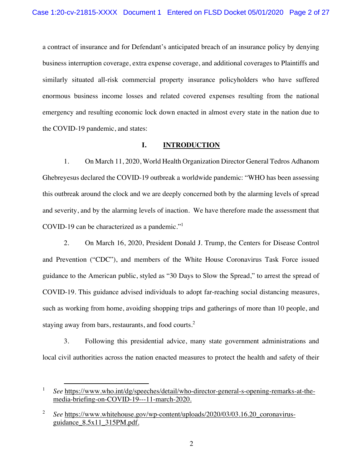a contract of insurance and for Defendant's anticipated breach of an insurance policy by denying business interruption coverage, extra expense coverage, and additional coverages to Plaintiffs and similarly situated all-risk commercial property insurance policyholders who have suffered enormous business income losses and related covered expenses resulting from the national emergency and resulting economic lock down enacted in almost every state in the nation due to the COVID-19 pandemic, and states:

## **I. INTRODUCTION**

1. On March 11, 2020, World Health Organization Director General Tedros Adhanom Ghebreyesus declared the COVID-19 outbreak a worldwide pandemic: "WHO has been assessing this outbreak around the clock and we are deeply concerned both by the alarming levels of spread and severity, and by the alarming levels of inaction. We have therefore made the assessment that COVID-19 can be characterized as a pandemic."<sup>1</sup>

2. On March 16, 2020, President Donald J. Trump, the Centers for Disease Control and Prevention ("CDC"), and members of the White House Coronavirus Task Force issued guidance to the American public, styled as "30 Days to Slow the Spread," to arrest the spread of COVID-19. This guidance advised individuals to adopt far-reaching social distancing measures, such as working from home, avoiding shopping trips and gatherings of more than 10 people, and staying away from bars, restaurants, and food courts.<sup>2</sup>

3. Following this presidential advice, many state government administrations and local civil authorities across the nation enacted measures to protect the health and safety of their

<sup>1</sup> *See* https://www.who.int/dg/speeches/detail/who-director-general-s-opening-remarks-at-themedia-briefing-on-COVID-19---11-march-2020.

<sup>&</sup>lt;sup>2</sup> *See* https://www.whitehouse.gov/wp-content/uploads/2020/03/03.16.20 coronavirusguidance\_8.5x11\_315PM.pdf.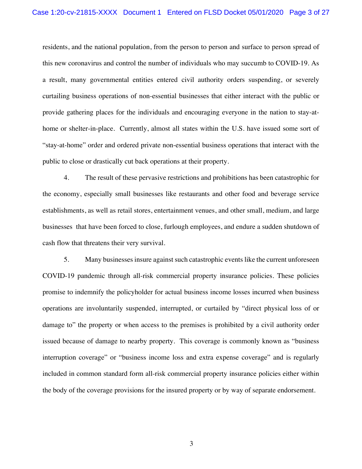residents, and the national population, from the person to person and surface to person spread of this new coronavirus and control the number of individuals who may succumb to COVID-19. As a result, many governmental entities entered civil authority orders suspending, or severely curtailing business operations of non-essential businesses that either interact with the public or provide gathering places for the individuals and encouraging everyone in the nation to stay-athome or shelter-in-place. Currently, almost all states within the U.S. have issued some sort of "stay-at-home" order and ordered private non-essential business operations that interact with the public to close or drastically cut back operations at their property.

4. The result of these pervasive restrictions and prohibitions has been catastrophic for the economy, especially small businesses like restaurants and other food and beverage service establishments, as well as retail stores, entertainment venues, and other small, medium, and large businesses that have been forced to close, furlough employees, and endure a sudden shutdown of cash flow that threatens their very survival.

5. Many businesses insure against such catastrophic events like the current unforeseen COVID-19 pandemic through all-risk commercial property insurance policies. These policies promise to indemnify the policyholder for actual business income losses incurred when business operations are involuntarily suspended, interrupted, or curtailed by "direct physical loss of or damage to" the property or when access to the premises is prohibited by a civil authority order issued because of damage to nearby property. This coverage is commonly known as "business interruption coverage" or "business income loss and extra expense coverage" and is regularly included in common standard form all-risk commercial property insurance policies either within the body of the coverage provisions for the insured property or by way of separate endorsement.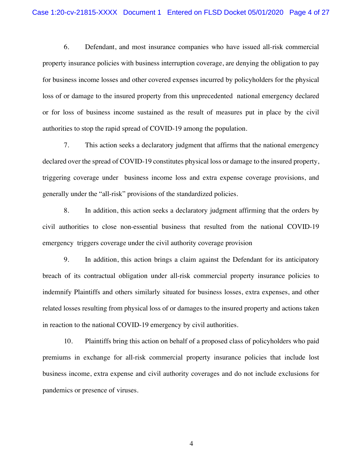6. Defendant, and most insurance companies who have issued all-risk commercial property insurance policies with business interruption coverage, are denying the obligation to pay for business income losses and other covered expenses incurred by policyholders for the physical loss of or damage to the insured property from this unprecedented national emergency declared or for loss of business income sustained as the result of measures put in place by the civil authorities to stop the rapid spread of COVID-19 among the population.

7. This action seeks a declaratory judgment that affirms that the national emergency declared over the spread of COVID-19 constitutes physical loss or damage to the insured property, triggering coverage under business income loss and extra expense coverage provisions, and generally under the "all-risk" provisions of the standardized policies.

8. In addition, this action seeks a declaratory judgment affirming that the orders by civil authorities to close non-essential business that resulted from the national COVID-19 emergency triggers coverage under the civil authority coverage provision

9. In addition, this action brings a claim against the Defendant for its anticipatory breach of its contractual obligation under all-risk commercial property insurance policies to indemnify Plaintiffs and others similarly situated for business losses, extra expenses, and other related losses resulting from physical loss of or damages to the insured property and actions taken in reaction to the national COVID-19 emergency by civil authorities.

10. Plaintiffs bring this action on behalf of a proposed class of policyholders who paid premiums in exchange for all-risk commercial property insurance policies that include lost business income, extra expense and civil authority coverages and do not include exclusions for pandemics or presence of viruses.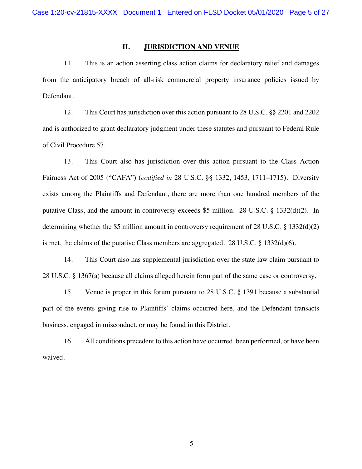## **II. JURISDICTION AND VENUE**

11. This is an action asserting class action claims for declaratory relief and damages from the anticipatory breach of all-risk commercial property insurance policies issued by Defendant.

12. This Court has jurisdiction over this action pursuant to 28 U.S.C. §§ 2201 and 2202 and is authorized to grant declaratory judgment under these statutes and pursuant to Federal Rule of Civil Procedure 57.

13. This Court also has jurisdiction over this action pursuant to the Class Action Fairness Act of 2005 ("CAFA") (*codified in* 28 U.S.C. §§ 1332, 1453, 1711–1715). Diversity exists among the Plaintiffs and Defendant, there are more than one hundred members of the putative Class, and the amount in controversy exceeds \$5 million. 28 U.S.C. § 1332(d)(2). In determining whether the \$5 million amount in controversy requirement of 28 U.S.C. § 1332(d)(2) is met, the claims of the putative Class members are aggregated. 28 U.S.C.  $\S$  1332(d)(6).

14. This Court also has supplemental jurisdiction over the state law claim pursuant to 28 U.S.C. § 1367(a) because all claims alleged herein form part of the same case or controversy.

15. Venue is proper in this forum pursuant to 28 U.S.C. § 1391 because a substantial part of the events giving rise to Plaintiffs' claims occurred here, and the Defendant transacts business, engaged in misconduct, or may be found in this District.

16. All conditions precedent to this action have occurred, been performed, or have been waived.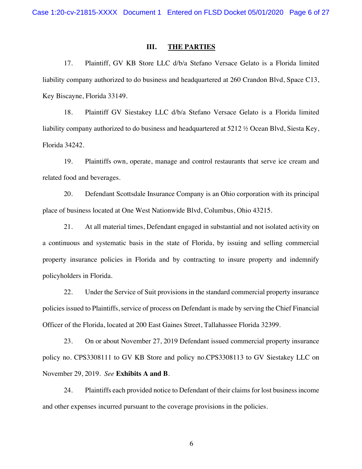## **III. THE PARTIES**

17. Plaintiff, GV KB Store LLC d/b/a Stefano Versace Gelato is a Florida limited liability company authorized to do business and headquartered at 260 Crandon Blvd, Space C13, Key Biscayne, Florida 33149.

18. Plaintiff GV Siestakey LLC d/b/a Stefano Versace Gelato is a Florida limited liability company authorized to do business and headquartered at 5212 ½ Ocean Blvd, Siesta Key, Florida 34242.

19. Plaintiffs own, operate, manage and control restaurants that serve ice cream and related food and beverages.

20. Defendant Scottsdale Insurance Company is an Ohio corporation with its principal place of business located at One West Nationwide Blvd, Columbus, Ohio 43215.

21. At all material times, Defendant engaged in substantial and not isolated activity on a continuous and systematic basis in the state of Florida, by issuing and selling commercial property insurance policies in Florida and by contracting to insure property and indemnify policyholders in Florida.

22. Under the Service of Suit provisions in the standard commercial property insurance policies issued to Plaintiffs, service of process on Defendant is made by serving the Chief Financial Officer of the Florida, located at 200 East Gaines Street, Tallahassee Florida 32399.

23. On or about November 27, 2019 Defendant issued commercial property insurance policy no. CPS3308111 to GV KB Store and policy no.CPS3308113 to GV Siestakey LLC on November 29, 2019. *See* **Exhibits A and B**.

24. Plaintiffs each provided notice to Defendant of their claims for lost business income and other expenses incurred pursuant to the coverage provisions in the policies.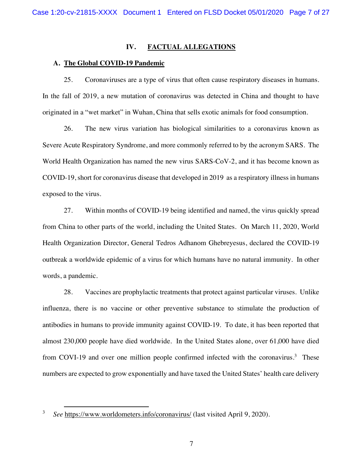## **IV. FACTUAL ALLEGATIONS**

## **A. The Global COVID-19 Pandemic**

25. Coronaviruses are a type of virus that often cause respiratory diseases in humans. In the fall of 2019, a new mutation of coronavirus was detected in China and thought to have originated in a "wet market" in Wuhan, China that sells exotic animals for food consumption.

26. The new virus variation has biological similarities to a coronavirus known as Severe Acute Respiratory Syndrome, and more commonly referred to by the acronym SARS. The World Health Organization has named the new virus SARS-CoV-2, and it has become known as COVID-19, short for coronavirus disease that developed in 2019 as a respiratory illness in humans exposed to the virus.

27. Within months of COVID-19 being identified and named, the virus quickly spread from China to other parts of the world, including the United States. On March 11, 2020, World Health Organization Director, General Tedros Adhanom Ghebreyesus, declared the COVID-19 outbreak a worldwide epidemic of a virus for which humans have no natural immunity. In other words, a pandemic.

28. Vaccines are prophylactic treatments that protect against particular viruses. Unlike influenza, there is no vaccine or other preventive substance to stimulate the production of antibodies in humans to provide immunity against COVID-19. To date, it has been reported that almost 230,000 people have died worldwide. In the United States alone, over 61,000 have died from COVI-19 and over one million people confirmed infected with the coronavirus.<sup>3</sup> These numbers are expected to grow exponentially and have taxed the United States' health care delivery

<sup>3</sup> *See* https://www.worldometers.info/coronavirus/ (last visited April 9, 2020).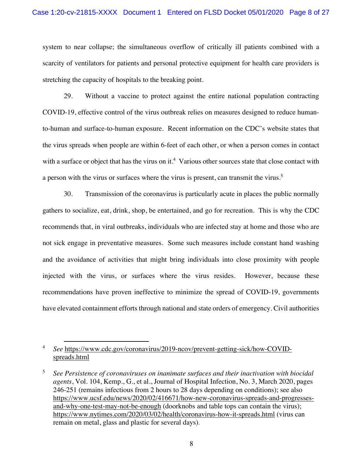system to near collapse; the simultaneous overflow of critically ill patients combined with a scarcity of ventilators for patients and personal protective equipment for health care providers is stretching the capacity of hospitals to the breaking point.

29. Without a vaccine to protect against the entire national population contracting COVID-19, effective control of the virus outbreak relies on measures designed to reduce humanto-human and surface-to-human exposure. Recent information on the CDC's website states that the virus spreads when people are within 6-feet of each other, or when a person comes in contact with a surface or object that has the virus on it.<sup>4</sup> Various other sources state that close contact with a person with the virus or surfaces where the virus is present, can transmit the virus.<sup>5</sup>

30. Transmission of the coronavirus is particularly acute in places the public normally gathers to socialize, eat, drink, shop, be entertained, and go for recreation. This is why the CDC recommends that, in viral outbreaks, individuals who are infected stay at home and those who are not sick engage in preventative measures. Some such measures include constant hand washing and the avoidance of activities that might bring individuals into close proximity with people injected with the virus, or surfaces where the virus resides. However, because these recommendations have proven ineffective to minimize the spread of COVID-19, governments have elevated containment efforts through national and state orders of emergency. Civil authorities

<sup>4</sup> *See* https://www.cdc.gov/coronavirus/2019-ncov/prevent-getting-sick/how-COVIDspreads.html

<sup>5</sup> *See Persistence of coronaviruses on inanimate surfaces and their inactivation with biocidal agents*, Vol. 104, Kemp., G., et al., Journal of Hospital Infection, No. 3, March 2020, pages 246-251 (remains infectious from 2 hours to 28 days depending on conditions); see also https://www.ucsf.edu/news/2020/02/416671/how-new-coronavirus-spreads-and-progressesand-why-one-test-may-not-be-enough (doorknobs and table tops can contain the virus); https://www.nytimes.com/2020/03/02/health/coronavirus-how-it-spreads.html (virus can remain on metal, glass and plastic for several days).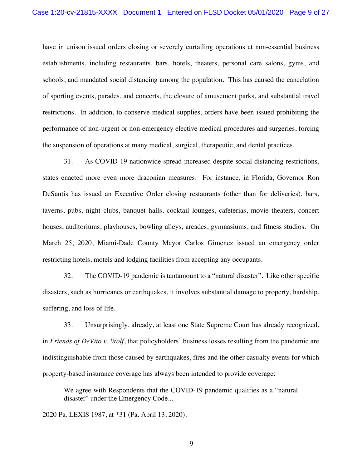have in unison issued orders closing or severely curtailing operations at non-essential business establishments, including restaurants, bars, hotels, theaters, personal care salons, gyms, and schools, and mandated social distancing among the population. This has caused the cancelation of sporting events, parades, and concerts, the closure of amusement parks, and substantial travel restrictions. In addition, to conserve medical supplies, orders have been issued prohibiting the performance of non-urgent or non-emergency elective medical procedures and surgeries, forcing the suspension of operations at many medical, surgical, therapeutic, and dental practices.

31. As COVID-19 nationwide spread increased despite social distancing restrictions, states enacted more even more draconian measures. For instance, in Florida, Governor Ron DeSantis has issued an Executive Order closing restaurants (other than for deliveries), bars, taverns, pubs, night clubs, banquet halls, cocktail lounges, cafeterias, movie theaters, concert houses, auditoriums, playhouses, bowling alleys, arcades, gymnasiums, and fitness studios. On March 25, 2020, Miami-Dade County Mayor Carlos Gimenez issued an emergency order restricting hotels, motels and lodging facilities from accepting any occupants.

32. The COVID-19 pandemic is tantamount to a "natural disaster". Like other specific disasters, such as hurricanes or earthquakes, it involves substantial damage to property, hardship, suffering, and loss of life.

33. Unsurprisingly, already, at least one State Supreme Court has already recognized, in *Friends of DeVito v. Wolf*, that policyholders' business losses resulting from the pandemic are indistinguishable from those caused by earthquakes, fires and the other casualty events for which property-based insurance coverage has always been intended to provide coverage:

We agree with Respondents that the COVID-19 pandemic qualifies as a "natural disaster" under the Emergency Code...

2020 Pa. LEXIS 1987, at \*31 (Pa. April 13, 2020).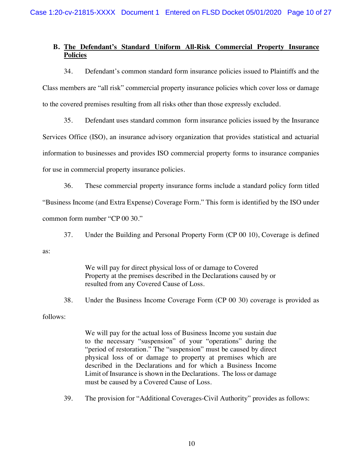# **B. The Defendant's Standard Uniform All-Risk Commercial Property Insurance Policies**

34. Defendant's common standard form insurance policies issued to Plaintiffs and the Class members are "all risk" commercial property insurance policies which cover loss or damage to the covered premises resulting from all risks other than those expressly excluded.

35. Defendant uses standard common form insurance policies issued by the Insurance Services Office (ISO), an insurance advisory organization that provides statistical and actuarial information to businesses and provides ISO commercial property forms to insurance companies for use in commercial property insurance policies.

36. These commercial property insurance forms include a standard policy form titled "Business Income (and Extra Expense) Coverage Form." This form is identified by the ISO under common form number "CP 00 30."

37. Under the Building and Personal Property Form (CP 00 10), Coverage is defined

as:

We will pay for direct physical loss of or damage to Covered Property at the premises described in the Declarations caused by or resulted from any Covered Cause of Loss.

38. Under the Business Income Coverage Form (CP 00 30) coverage is provided as

follows:

We will pay for the actual loss of Business Income you sustain due to the necessary "suspension" of your "operations" during the "period of restoration." The "suspension" must be caused by direct physical loss of or damage to property at premises which are described in the Declarations and for which a Business Income Limit of Insurance is shown in the Declarations. The loss or damage must be caused by a Covered Cause of Loss.

39. The provision for "Additional Coverages-Civil Authority" provides as follows: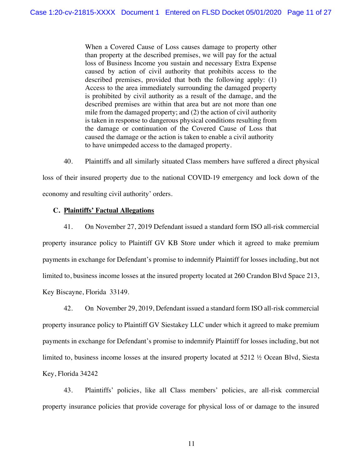When a Covered Cause of Loss causes damage to property other than property at the described premises, we will pay for the actual loss of Business Income you sustain and necessary Extra Expense caused by action of civil authority that prohibits access to the described premises, provided that both the following apply: (1) Access to the area immediately surrounding the damaged property is prohibited by civil authority as a result of the damage, and the described premises are within that area but are not more than one mile from the damaged property; and (2) the action of civil authority is taken in response to dangerous physical conditions resulting from the damage or continuation of the Covered Cause of Loss that caused the damage or the action is taken to enable a civil authority to have unimpeded access to the damaged property.

40. Plaintiffs and all similarly situated Class members have suffered a direct physical loss of their insured property due to the national COVID-19 emergency and lock down of the economy and resulting civil authority' orders.

# **C. Plaintiffs' Factual Allegations**

41. On November 27, 2019 Defendant issued a standard form ISO all-risk commercial property insurance policy to Plaintiff GV KB Store under which it agreed to make premium payments in exchange for Defendant's promise to indemnify Plaintiff for losses including, but not limited to, business income losses at the insured property located at 260 Crandon Blvd Space 213, Key Biscayne, Florida 33149.

42. On November 29, 2019, Defendant issued a standard form ISO all-risk commercial property insurance policy to Plaintiff GV Siestakey LLC under which it agreed to make premium payments in exchange for Defendant's promise to indemnify Plaintiff for losses including, but not limited to, business income losses at the insured property located at 5212 ½ Ocean Blvd, Siesta Key, Florida 34242

43. Plaintiffs' policies, like all Class members' policies, are all-risk commercial property insurance policies that provide coverage for physical loss of or damage to the insured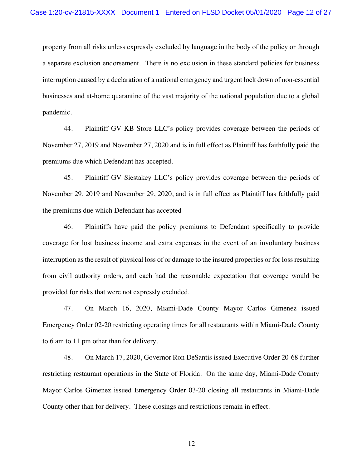property from all risks unless expressly excluded by language in the body of the policy or through a separate exclusion endorsement. There is no exclusion in these standard policies for business interruption caused by a declaration of a national emergency and urgent lock down of non-essential businesses and at-home quarantine of the vast majority of the national population due to a global pandemic.

44. Plaintiff GV KB Store LLC's policy provides coverage between the periods of November 27, 2019 and November 27, 2020 and is in full effect as Plaintiff has faithfully paid the premiums due which Defendant has accepted.

45. Plaintiff GV Siestakey LLC's policy provides coverage between the periods of November 29, 2019 and November 29, 2020, and is in full effect as Plaintiff has faithfully paid the premiums due which Defendant has accepted

46. Plaintiffs have paid the policy premiums to Defendant specifically to provide coverage for lost business income and extra expenses in the event of an involuntary business interruption as the result of physical loss of or damage to the insured properties or for loss resulting from civil authority orders, and each had the reasonable expectation that coverage would be provided for risks that were not expressly excluded.

47. On March 16, 2020, Miami-Dade County Mayor Carlos Gimenez issued Emergency Order 02-20 restricting operating times for all restaurants within Miami-Dade County to 6 am to 11 pm other than for delivery.

48. On March 17, 2020, Governor Ron DeSantis issued Executive Order 20-68 further restricting restaurant operations in the State of Florida. On the same day, Miami-Dade County Mayor Carlos Gimenez issued Emergency Order 03-20 closing all restaurants in Miami-Dade County other than for delivery. These closings and restrictions remain in effect.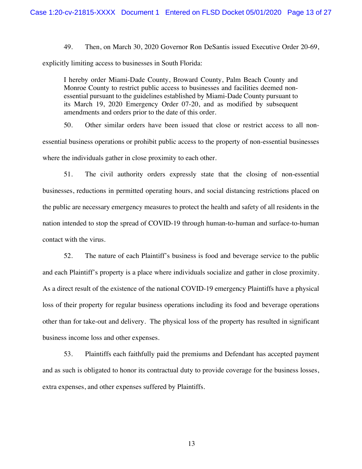49. Then, on March 30, 2020 Governor Ron DeSantis issued Executive Order 20-69, explicitly limiting access to businesses in South Florida:

I hereby order Miami-Dade County, Broward County, Palm Beach County and Monroe County to restrict public access to businesses and facilities deemed nonessential pursuant to the guidelines established by Miami-Dade County pursuant to its March 19, 2020 Emergency Order 07-20, and as modified by subsequent amendments and orders prior to the date of this order.

50. Other similar orders have been issued that close or restrict access to all nonessential business operations or prohibit public access to the property of non-essential businesses where the individuals gather in close proximity to each other.

51. The civil authority orders expressly state that the closing of non-essential businesses, reductions in permitted operating hours, and social distancing restrictions placed on the public are necessary emergency measures to protect the health and safety of all residents in the nation intended to stop the spread of COVID-19 through human-to-human and surface-to-human contact with the virus.

52. The nature of each Plaintiff's business is food and beverage service to the public and each Plaintiff's property is a place where individuals socialize and gather in close proximity. As a direct result of the existence of the national COVID-19 emergency Plaintiffs have a physical loss of their property for regular business operations including its food and beverage operations other than for take-out and delivery. The physical loss of the property has resulted in significant business income loss and other expenses.

53. Plaintiffs each faithfully paid the premiums and Defendant has accepted payment and as such is obligated to honor its contractual duty to provide coverage for the business losses, extra expenses, and other expenses suffered by Plaintiffs.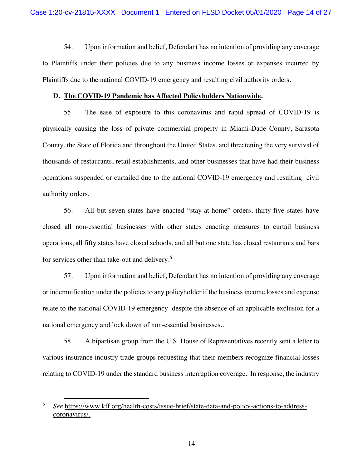54. Upon information and belief, Defendant has no intention of providing any coverage to Plaintiffs under their policies due to any business income losses or expenses incurred by Plaintiffs due to the national COVID-19 emergency and resulting civil authority orders.

## **D. The COVID-19 Pandemic has Affected Policyholders Nationwide.**

55. The ease of exposure to this coronavirus and rapid spread of COVID-19 is physically causing the loss of private commercial property in Miami-Dade County, Sarasota County, the State of Florida and throughout the United States, and threatening the very survival of thousands of restaurants, retail establishments, and other businesses that have had their business operations suspended or curtailed due to the national COVID-19 emergency and resulting civil authority orders.

56. All but seven states have enacted "stay-at-home" orders, thirty-five states have closed all non-essential businesses with other states enacting measures to curtail business operations, all fifty states have closed schools, and all but one state has closed restaurants and bars for services other than take-out and delivery.<sup>6</sup>

57. Upon information and belief, Defendant has no intention of providing any coverage or indemnification under the policies to any policyholder if the business income losses and expense relate to the national COVID-19 emergency despite the absence of an applicable exclusion for a national emergency and lock down of non-essential businesses..

58. A bipartisan group from the U.S. House of Representatives recently sent a letter to various insurance industry trade groups requesting that their members recognize financial losses relating to COVID-19 under the standard business interruption coverage. In response, the industry

<sup>6</sup> *See* https://www.kff.org/health-costs/issue-brief/state-data-and-policy-actions-to-addresscoronavirus/.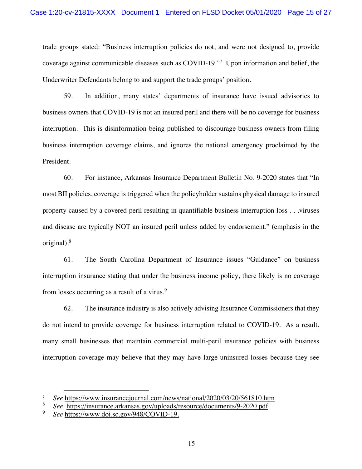trade groups stated: "Business interruption policies do not, and were not designed to, provide coverage against communicable diseases such as COVID-19."<sup>7</sup> Upon information and belief, the Underwriter Defendants belong to and support the trade groups' position.

59. In addition, many states' departments of insurance have issued advisories to business owners that COVID-19 is not an insured peril and there will be no coverage for business interruption. This is disinformation being published to discourage business owners from filing business interruption coverage claims, and ignores the national emergency proclaimed by the President.

60. For instance, Arkansas Insurance Department Bulletin No. 9-2020 states that "In most BII policies, coverage is triggered when the policyholder sustains physical damage to insured property caused by a covered peril resulting in quantifiable business interruption loss . . .viruses and disease are typically NOT an insured peril unless added by endorsement." (emphasis in the original).8

61. The South Carolina Department of Insurance issues "Guidance" on business interruption insurance stating that under the business income policy, there likely is no coverage from losses occurring as a result of a virus.<sup>9</sup>

62. The insurance industry is also actively advising Insurance Commissioners that they do not intend to provide coverage for business interruption related to COVID-19. As a result, many small businesses that maintain commercial multi-peril insurance policies with business interruption coverage may believe that they may have large uninsured losses because they see

<sup>&</sup>lt;sup>7</sup> *See* https://www.insurancejournal.com/news/national/2020/03/20/561810.htm<br>8 See https://insurance.org/news/national/2020/03/20/561810.htm

<sup>8</sup> *See* https://insurance.arkansas.gov/uploads/resource/documents/9-2020.pdf

<sup>9</sup> *See* https://www.doi.sc.gov/948/COVID-19.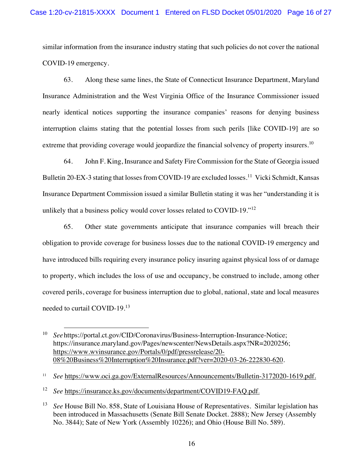similar information from the insurance industry stating that such policies do not cover the national COVID-19 emergency.

63. Along these same lines, the State of Connecticut Insurance Department, Maryland Insurance Administration and the West Virginia Office of the Insurance Commissioner issued nearly identical notices supporting the insurance companies' reasons for denying business interruption claims stating that the potential losses from such perils [like COVID-19] are so extreme that providing coverage would jeopardize the financial solvency of property insurers.<sup>10</sup>

64. John F. King, Insurance and Safety Fire Commission for the State of Georgia issued Bulletin 20-EX-3 stating that losses from COVID-19 are excluded losses.<sup>11</sup> Vicki Schmidt, Kansas Insurance Department Commission issued a similar Bulletin stating it was her "understanding it is unlikely that a business policy would cover losses related to COVID-19."<sup>12</sup>

65. Other state governments anticipate that insurance companies will breach their obligation to provide coverage for business losses due to the national COVID-19 emergency and have introduced bills requiring every insurance policy insuring against physical loss of or damage to property, which includes the loss of use and occupancy, be construed to include, among other covered perils, coverage for business interruption due to global, national, state and local measures needed to curtail COVID-19.13

<sup>11</sup> *See* https://www.oci.ga.gov/ExternalResources/Announcements/Bulletin-3172020-1619.pdf.

<sup>12</sup> *See* https://insurance.ks.gov/documents/department/COVID19-FAQ.pdf.

<sup>10</sup> *See*https://portal.ct.gov/CID/Coronavirus/Business-Interruption-Insurance-Notice; https://insurance.maryland.gov/Pages/newscenter/NewsDetails.aspx?NR=2020256; https://www.wvinsurance.gov/Portals/0/pdf/pressrelease/20- 08%20Business%20Interruption%20Insurance.pdf?ver=2020-03-26-222830-620.

<sup>13</sup> *See* House Bill No. 858, State of Louisiana House of Representatives. Similar legislation has been introduced in Massachusetts (Senate Bill Senate Docket. 2888); New Jersey (Assembly No. 3844); Sate of New York (Assembly 10226); and Ohio (House Bill No. 589).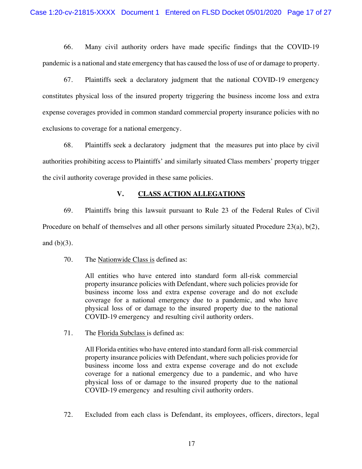66. Many civil authority orders have made specific findings that the COVID-19 pandemic is a national and state emergency that has caused the loss of use of or damage to property.

67. Plaintiffs seek a declaratory judgment that the national COVID-19 emergency constitutes physical loss of the insured property triggering the business income loss and extra expense coverages provided in common standard commercial property insurance policies with no exclusions to coverage for a national emergency.

68. Plaintiffs seek a declaratory judgment that the measures put into place by civil authorities prohibiting access to Plaintiffs' and similarly situated Class members' property trigger the civil authority coverage provided in these same policies.

# **V. CLASS ACTION ALLEGATIONS**

69. Plaintiffs bring this lawsuit pursuant to Rule 23 of the Federal Rules of Civil Procedure on behalf of themselves and all other persons similarly situated Procedure 23(a), b(2), and  $(b)(3)$ .

70. The Nationwide Class is defined as:

All entities who have entered into standard form all-risk commercial property insurance policies with Defendant, where such policies provide for business income loss and extra expense coverage and do not exclude coverage for a national emergency due to a pandemic, and who have physical loss of or damage to the insured property due to the national COVID-19 emergency and resulting civil authority orders.

71. The Florida Subclass is defined as:

All Florida entities who have entered into standard form all-risk commercial property insurance policies with Defendant, where such policies provide for business income loss and extra expense coverage and do not exclude coverage for a national emergency due to a pandemic, and who have physical loss of or damage to the insured property due to the national COVID-19 emergency and resulting civil authority orders.

72. Excluded from each class is Defendant, its employees, officers, directors, legal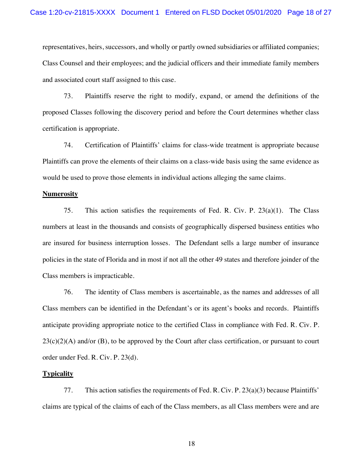representatives, heirs, successors, and wholly or partly owned subsidiaries or affiliated companies; Class Counsel and their employees; and the judicial officers and their immediate family members and associated court staff assigned to this case.

73. Plaintiffs reserve the right to modify, expand, or amend the definitions of the proposed Classes following the discovery period and before the Court determines whether class certification is appropriate.

74. Certification of Plaintiffs' claims for class-wide treatment is appropriate because Plaintiffs can prove the elements of their claims on a class-wide basis using the same evidence as would be used to prove those elements in individual actions alleging the same claims.

## **Numerosity**

75. This action satisfies the requirements of Fed. R. Civ. P. 23(a)(1). The Class numbers at least in the thousands and consists of geographically dispersed business entities who are insured for business interruption losses. The Defendant sells a large number of insurance policies in the state of Florida and in most if not all the other 49 states and therefore joinder of the Class members is impracticable.

76. The identity of Class members is ascertainable, as the names and addresses of all Class members can be identified in the Defendant's or its agent's books and records. Plaintiffs anticipate providing appropriate notice to the certified Class in compliance with Fed. R. Civ. P.  $23(c)(2)(A)$  and/or (B), to be approved by the Court after class certification, or pursuant to court order under Fed. R. Civ. P. 23(d).

### **Typicality**

77. This action satisfies the requirements of Fed. R. Civ. P. 23(a)(3) because Plaintiffs' claims are typical of the claims of each of the Class members, as all Class members were and are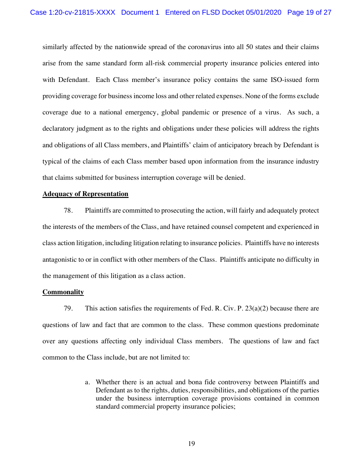similarly affected by the nationwide spread of the coronavirus into all 50 states and their claims arise from the same standard form all-risk commercial property insurance policies entered into with Defendant. Each Class member's insurance policy contains the same ISO-issued form providing coverage for business income loss and other related expenses. None of the forms exclude coverage due to a national emergency, global pandemic or presence of a virus. As such, a declaratory judgment as to the rights and obligations under these policies will address the rights and obligations of all Class members, and Plaintiffs' claim of anticipatory breach by Defendant is typical of the claims of each Class member based upon information from the insurance industry that claims submitted for business interruption coverage will be denied.

# **Adequacy of Representation**

78. Plaintiffs are committed to prosecuting the action, will fairly and adequately protect the interests of the members of the Class, and have retained counsel competent and experienced in class action litigation, including litigation relating to insurance policies. Plaintiffs have no interests antagonistic to or in conflict with other members of the Class. Plaintiffs anticipate no difficulty in the management of this litigation as a class action.

## **Commonality**

79. This action satisfies the requirements of Fed. R. Civ. P.  $23(a)(2)$  because there are questions of law and fact that are common to the class. These common questions predominate over any questions affecting only individual Class members. The questions of law and fact common to the Class include, but are not limited to:

> a. Whether there is an actual and bona fide controversy between Plaintiffs and Defendant as to the rights, duties, responsibilities, and obligations of the parties under the business interruption coverage provisions contained in common standard commercial property insurance policies;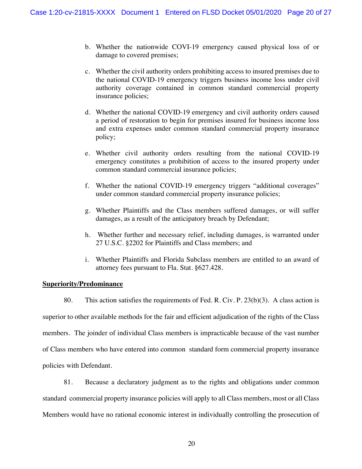- b. Whether the nationwide COVI-19 emergency caused physical loss of or damage to covered premises;
- c. Whether the civil authority orders prohibiting access to insured premises due to the national COVID-19 emergency triggers business income loss under civil authority coverage contained in common standard commercial property insurance policies;
- d. Whether the national COVID-19 emergency and civil authority orders caused a period of restoration to begin for premises insured for business income loss and extra expenses under common standard commercial property insurance policy;
- e. Whether civil authority orders resulting from the national COVID-19 emergency constitutes a prohibition of access to the insured property under common standard commercial insurance policies;
- f. Whether the national COVID-19 emergency triggers "additional coverages" under common standard commercial property insurance policies;
- g. Whether Plaintiffs and the Class members suffered damages, or will suffer damages, as a result of the anticipatory breach by Defendant;
- h. Whether further and necessary relief, including damages, is warranted under 27 U.S.C. §2202 for Plaintiffs and Class members; and
- i. Whether Plaintiffs and Florida Subclass members are entitled to an award of attorney fees pursuant to Fla. Stat. §627.428.

## **Superiority/Predominance**

80. This action satisfies the requirements of Fed. R. Civ. P. 23(b)(3). A class action is superior to other available methods for the fair and efficient adjudication of the rights of the Class members. The joinder of individual Class members is impracticable because of the vast number of Class members who have entered into common standard form commercial property insurance policies with Defendant.

81. Because a declaratory judgment as to the rights and obligations under common standard commercial property insurance policies will apply to all Class members, most or all Class Members would have no rational economic interest in individually controlling the prosecution of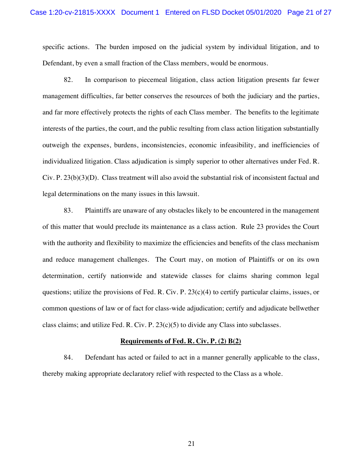specific actions. The burden imposed on the judicial system by individual litigation, and to Defendant, by even a small fraction of the Class members, would be enormous.

82. In comparison to piecemeal litigation, class action litigation presents far fewer management difficulties, far better conserves the resources of both the judiciary and the parties, and far more effectively protects the rights of each Class member. The benefits to the legitimate interests of the parties, the court, and the public resulting from class action litigation substantially outweigh the expenses, burdens, inconsistencies, economic infeasibility, and inefficiencies of individualized litigation. Class adjudication is simply superior to other alternatives under Fed. R. Civ. P. 23(b)(3)(D). Class treatment will also avoid the substantial risk of inconsistent factual and legal determinations on the many issues in this lawsuit.

83. Plaintiffs are unaware of any obstacles likely to be encountered in the management of this matter that would preclude its maintenance as a class action. Rule 23 provides the Court with the authority and flexibility to maximize the efficiencies and benefits of the class mechanism and reduce management challenges. The Court may, on motion of Plaintiffs or on its own determination, certify nationwide and statewide classes for claims sharing common legal questions; utilize the provisions of Fed. R. Civ. P.  $23(c)(4)$  to certify particular claims, issues, or common questions of law or of fact for class-wide adjudication; certify and adjudicate bellwether class claims; and utilize Fed. R. Civ. P.  $23(c)(5)$  to divide any Class into subclasses.

## **Requirements of Fed. R. Civ. P. (2) B(2)**

84. Defendant has acted or failed to act in a manner generally applicable to the class, thereby making appropriate declaratory relief with respected to the Class as a whole.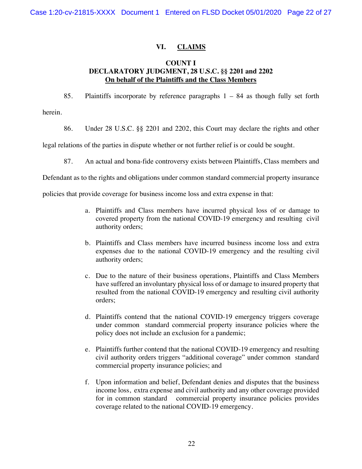# **VI. CLAIMS**

# **COUNT I DECLARATORY JUDGMENT, 28 U.S.C. §§ 2201 and 2202 On behalf of the Plaintiffs and the Class Members**

85. Plaintiffs incorporate by reference paragraphs 1 – 84 as though fully set forth herein.

86. Under 28 U.S.C. §§ 2201 and 2202, this Court may declare the rights and other

legal relations of the parties in dispute whether or not further relief is or could be sought.

87. An actual and bona-fide controversy exists between Plaintiffs, Class members and

Defendant as to the rights and obligations under common standard commercial property insurance

policies that provide coverage for business income loss and extra expense in that:

- a. Plaintiffs and Class members have incurred physical loss of or damage to covered property from the national COVID-19 emergency and resulting civil authority orders;
- b. Plaintiffs and Class members have incurred business income loss and extra expenses due to the national COVID-19 emergency and the resulting civil authority orders;
- c. Due to the nature of their business operations, Plaintiffs and Class Members have suffered an involuntary physical loss of or damage to insured property that resulted from the national COVID-19 emergency and resulting civil authority orders;
- d. Plaintiffs contend that the national COVID-19 emergency triggers coverage under common standard commercial property insurance policies where the policy does not include an exclusion for a pandemic;
- e. Plaintiffs further contend that the national COVID-19 emergency and resulting civil authority orders triggers "additional coverage" under common standard commercial property insurance policies; and
- f. Upon information and belief, Defendant denies and disputes that the business income loss, extra expense and civil authority and any other coverage provided for in common standard commercial property insurance policies provides coverage related to the national COVID-19 emergency.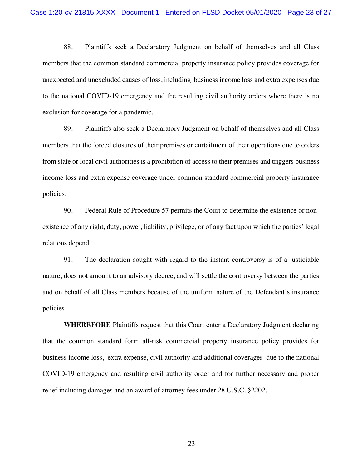88. Plaintiffs seek a Declaratory Judgment on behalf of themselves and all Class members that the common standard commercial property insurance policy provides coverage for unexpected and unexcluded causes of loss, including business income loss and extra expenses due to the national COVID-19 emergency and the resulting civil authority orders where there is no exclusion for coverage for a pandemic.

89. Plaintiffs also seek a Declaratory Judgment on behalf of themselves and all Class members that the forced closures of their premises or curtailment of their operations due to orders from state or local civil authorities is a prohibition of access to their premises and triggers business income loss and extra expense coverage under common standard commercial property insurance policies.

90. Federal Rule of Procedure 57 permits the Court to determine the existence or nonexistence of any right, duty, power, liability, privilege, or of any fact upon which the parties' legal relations depend.

91. The declaration sought with regard to the instant controversy is of a justiciable nature, does not amount to an advisory decree, and will settle the controversy between the parties and on behalf of all Class members because of the uniform nature of the Defendant's insurance policies.

**WHEREFORE** Plaintiffs request that this Court enter a Declaratory Judgment declaring that the common standard form all-risk commercial property insurance policy provides for business income loss, extra expense, civil authority and additional coverages due to the national COVID-19 emergency and resulting civil authority order and for further necessary and proper relief including damages and an award of attorney fees under 28 U.S.C. §2202.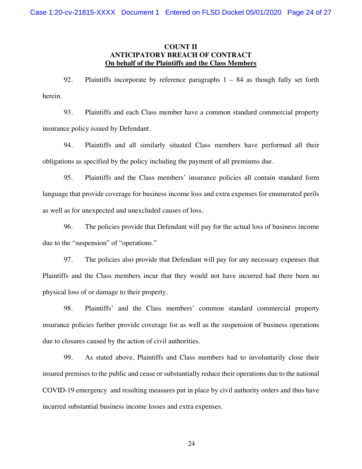## **COUNT II ANTICIPATORY BREACH OF CONTRACT On behalf of the Plaintiffs and the Class Members**

92. Plaintiffs incorporate by reference paragraphs 1 – 84 as though fully set forth herein.

93. Plaintiffs and each Class member have a common standard commercial property insurance policy issued by Defendant.

94. Plaintiffs and all similarly situated Class members have performed all their obligations as specified by the policy including the payment of all premiums due.

95. Plaintiffs and the Class members' insurance policies all contain standard form language that provide coverage for business income loss and extra expenses for enumerated perils as well as for unexpected and unexcluded causes of loss.

96. The policies provide that Defendant will pay for the actual loss of business income due to the "suspension" of "operations."

97. The policies also provide that Defendant will pay for any necessary expenses that Plaintiffs and the Class members incur that they would not have incurred had there been no physical loss of or damage to their property.

98. Plaintiffs' and the Class members' common standard commercial property insurance policies further provide coverage for as well as the suspension of business operations due to closures caused by the action of civil authorities.

99. As stated above, Plaintiffs and Class members had to involuntarily close their insured premises to the public and cease or substantially reduce their operations due to the national COVID-19 emergency and resulting measures put in place by civil authority orders and thus have incurred substantial business income losses and extra expenses.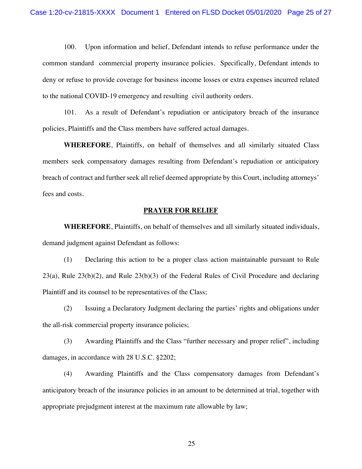100. Upon information and belief, Defendant intends to refuse performance under the common standard commercial property insurance policies. Specifically, Defendant intends to deny or refuse to provide coverage for business income losses or extra expenses incurred related to the national COVID-19 emergency and resulting civil authority orders.

101. As a result of Defendant's repudiation or anticipatory breach of the insurance policies, Plaintiffs and the Class members have suffered actual damages.

**WHEREFORE**, Plaintiffs, on behalf of themselves and all similarly situated Class members seek compensatory damages resulting from Defendant's repudiation or anticipatory breach of contract and further seek all relief deemed appropriate by this Court, including attorneys' fees and costs.

## **PRAYER FOR RELIEF**

**WHEREFORE**, Plaintiffs, on behalf of themselves and all similarly situated individuals, demand judgment against Defendant as follows:

(1) Declaring this action to be a proper class action maintainable pursuant to Rule 23(a), Rule 23(b)(2), and Rule 23(b)(3) of the Federal Rules of Civil Procedure and declaring Plaintiff and its counsel to be representatives of the Class;

(2) Issuing a Declaratory Judgment declaring the parties' rights and obligations under the all-risk commercial property insurance policies;

(3) Awarding Plaintiffs and the Class "further necessary and proper relief", including damages, in accordance with 28 U.S.C. §2202;

(4) Awarding Plaintiffs and the Class compensatory damages from Defendant's anticipatory breach of the insurance policies in an amount to be determined at trial, together with appropriate prejudgment interest at the maximum rate allowable by law;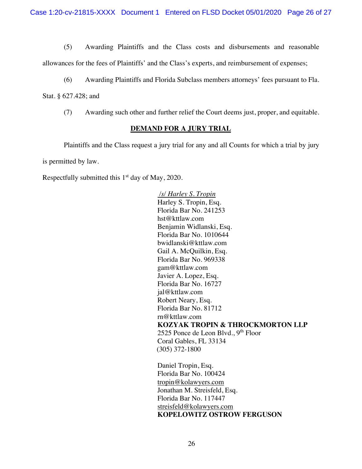Case 1:20-cv-21815-XXXX Document 1 Entered on FLSD Docket 05/01/2020 Page 26 of 27

(5) Awarding Plaintiffs and the Class costs and disbursements and reasonable

allowances for the fees of Plaintiffs' and the Class's experts, and reimbursement of expenses;

(6) Awarding Plaintiffs and Florida Subclass members attorneys' fees pursuant to Fla.

Stat. § 627.428; and

(7) Awarding such other and further relief the Court deems just, proper, and equitable.

## **DEMAND FOR A JURY TRIAL**

Plaintiffs and the Class request a jury trial for any and all Counts for which a trial by jury is permitted by law.

Respectfully submitted this  $1<sup>st</sup>$  day of May, 2020.

*/s/ Harley S. Tropin* Harley S. Tropin, Esq. Florida Bar No. 241253 hst@kttlaw.com Benjamin Widlanski, Esq. Florida Bar No. 1010644 bwidlanski@kttlaw.com Gail A. McQuilkin, Esq. Florida Bar No. 969338 gam@kttlaw.com Javier A. Lopez, Esq. Florida Bar No. 16727 jal@kttlaw.com Robert Neary, Esq. Florida Bar No. 81712 rn@kttlaw.com **KOZYAK TROPIN & THROCKMORTON LLP** 2525 Ponce de Leon Blvd.,  $9<sup>th</sup>$  Floor Coral Gables, FL 33134 (305) 372-1800

Daniel Tropin, Esq. Florida Bar No. 100424 tropin@kolawyers.com Jonathan M. Streisfeld, Esq. Florida Bar No. 117447 streisfeld@kolawyers.com **KOPELOWITZ OSTROW FERGUSON**